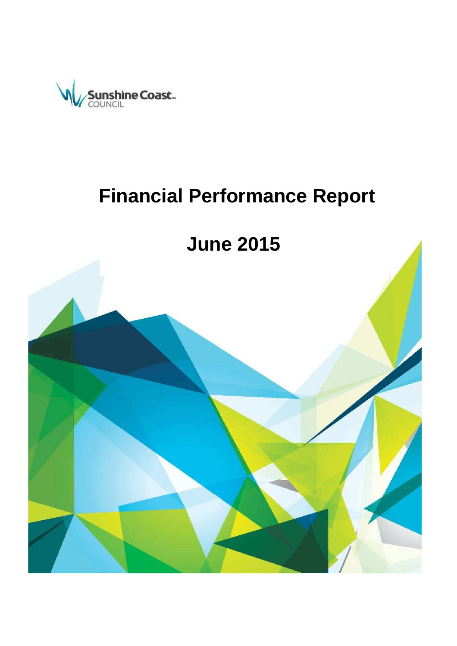

# **Financial Performance Report**

**June 2015 (P13) June 2015** 

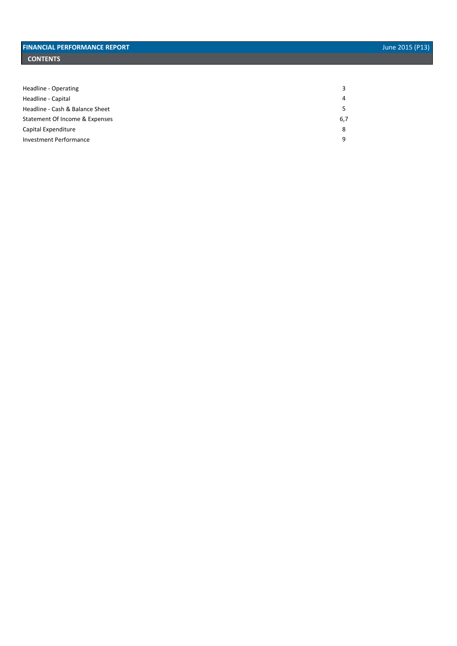| Headline - Operating            |     |
|---------------------------------|-----|
| Headline - Capital              | 4   |
| Headline - Cash & Balance Sheet |     |
| Statement Of Income & Expenses  | 6,7 |
| Capital Expenditure             | 8   |
| <b>Investment Performance</b>   | a   |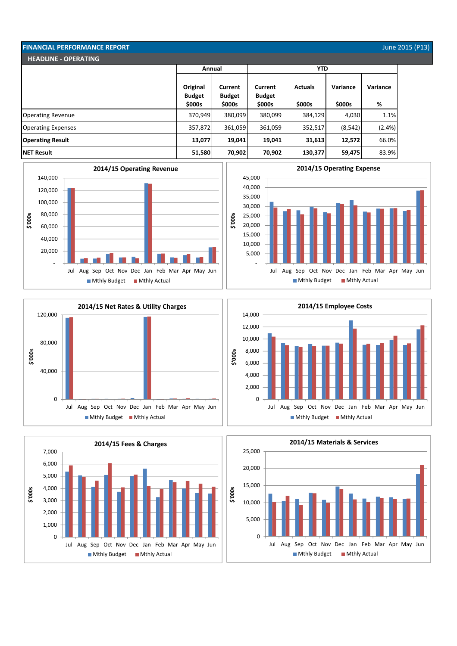| <b>FINANCIAL PERFORMANCE REPORT</b> |                           |                                 |                          |                |          |           | June 2015 (P13) |
|-------------------------------------|---------------------------|---------------------------------|--------------------------|----------------|----------|-----------|-----------------|
| <b>HEADLINE - OPERATING</b>         |                           |                                 |                          |                |          |           |                 |
|                                     | <b>YTD</b><br>Annual      |                                 |                          |                |          |           |                 |
|                                     | Original<br><b>Budget</b> | <b>Current</b><br><b>Budget</b> | Current<br><b>Budget</b> | <b>Actuals</b> | Variance | Variance  |                 |
|                                     | \$000s                    | \$000s                          | \$000s                   | \$000s         | \$000s   | %         |                 |
| <b>Operating Revenue</b>            | 370,949                   | 380,099                         | 380,099                  | 384,129        | 4,030    | 1.1%      |                 |
| <b>Operating Expenses</b>           | 357,872                   | 361,059                         | 361,059                  | 352,517        | (8, 542) | $(2.4\%)$ |                 |
| <b>Operating Result</b>             | 13,077                    | 19,041                          | 19,041                   | 31,613         | 12,572   | 66.0%     |                 |
| <b>NET Result</b>                   | 51,580                    | 70,902                          | 70,902                   | 130,377        | 59,475   | 83.9%     |                 |

**\$'000s**











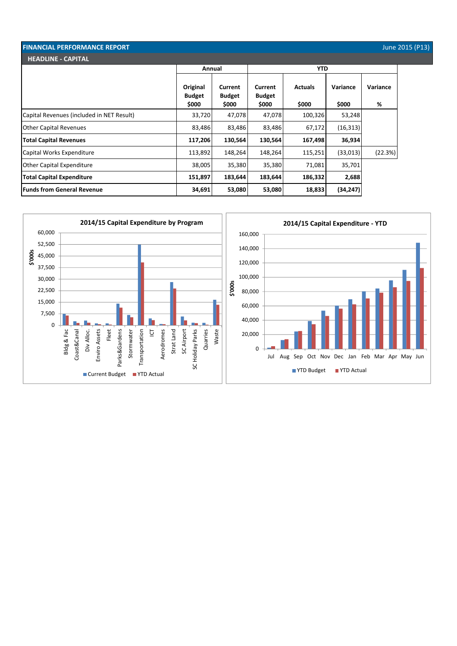| <b>FINANCIAL PERFORMANCE REPORT</b>       |                                    |                                          |                                   |                         |                   |               | June 2015 (P13) |
|-------------------------------------------|------------------------------------|------------------------------------------|-----------------------------------|-------------------------|-------------------|---------------|-----------------|
| <b>HEADLINE - CAPITAL</b>                 |                                    |                                          |                                   |                         |                   |               |                 |
|                                           | Annual                             |                                          | <b>YTD</b>                        |                         |                   |               |                 |
|                                           | Original<br><b>Budget</b><br>\$000 | <b>Current</b><br><b>Budget</b><br>\$000 | Current<br><b>Budget</b><br>\$000 | <b>Actuals</b><br>\$000 | Variance<br>\$000 | Variance<br>% |                 |
| Capital Revenues (included in NET Result) | 33,720                             | 47,078                                   | 47,078                            | 100,326                 | 53,248            |               |                 |
| <b>Other Capital Revenues</b>             | 83,486                             | 83,486                                   | 83,486                            | 67,172                  | (16, 313)         |               |                 |
| <b>Total Capital Revenues</b>             | 117,206                            | 130,564                                  | 130,564                           | 167,498                 | 36,934            |               |                 |
| Capital Works Expenditure                 | 113,892                            | 148,264                                  | 148,264                           | 115,251                 | (33,013)          | (22.3%)       |                 |
| <b>Other Capital Expenditure</b>          | 38,005                             | 35,380                                   | 35,380                            | 71,081                  | 35,701            |               |                 |
| <b>Total Capital Expenditure</b>          | 151,897                            | 183,644                                  | 183,644                           | 186,332                 | 2,688             |               |                 |
| <b>Funds from General Revenue</b>         | 34,691                             | 53,080                                   | 53,080                            | 18,833                  | (34, 247)         |               |                 |

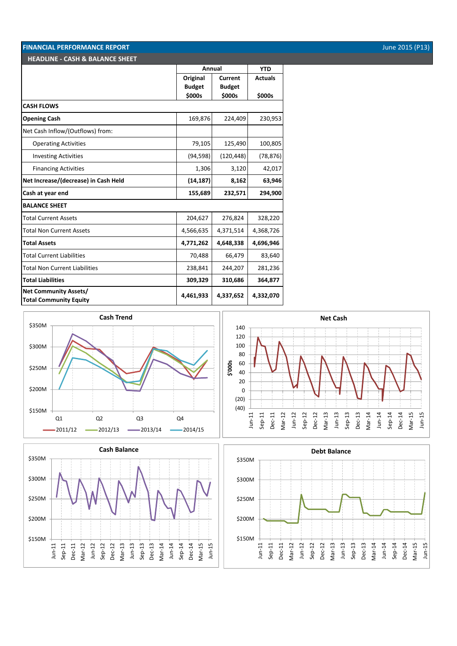### **FINANCIAL PERFORMANCE REPORT June 2015** (P13) **HEADLINE - CASH & BALANCE SHEET**

|                                                               | Annual        |               | <b>YTD</b>     |
|---------------------------------------------------------------|---------------|---------------|----------------|
|                                                               | Original      | Current       | <b>Actuals</b> |
|                                                               | <b>Budget</b> | <b>Budget</b> |                |
|                                                               | \$000s        | \$000s        | \$000s         |
| <b>CASH FLOWS</b>                                             |               |               |                |
| <b>Opening Cash</b>                                           | 169,876       | 224,409       | 230,953        |
| Net Cash Inflow/(Outflows) from:                              |               |               |                |
| <b>Operating Activities</b>                                   | 79,105        | 125,490       | 100,805        |
| <b>Investing Activities</b>                                   | (94, 598)     | (120, 448)    | (78, 876)      |
| <b>Financing Activities</b>                                   | 1,306         | 3,120         | 42,017         |
| Net Increase/(decrease) in Cash Held                          | (14, 187)     | 8,162         | 63,946         |
| Cash at year end                                              | 155,689       | 232,571       | 294,900        |
| <b>BALANCE SHEET</b>                                          |               |               |                |
| <b>Total Current Assets</b>                                   | 204,627       | 276,824       | 328,220        |
| <b>Total Non Current Assets</b>                               | 4,566,635     | 4,371,514     | 4,368,726      |
| <b>Total Assets</b>                                           | 4,771,262     | 4,648,338     | 4,696,946      |
| <b>Total Current Liabilities</b>                              | 70,488        | 66,479        | 83,640         |
| <b>Total Non Current Liabilities</b>                          | 238,841       | 244,207       | 281,236        |
| <b>Total Liabilities</b>                                      | 309,329       | 310,686       | 364,877        |
| <b>Net Community Assets/</b><br><b>Total Community Equity</b> | 4,461,933     | 4,337,652     | 4,332,070      |







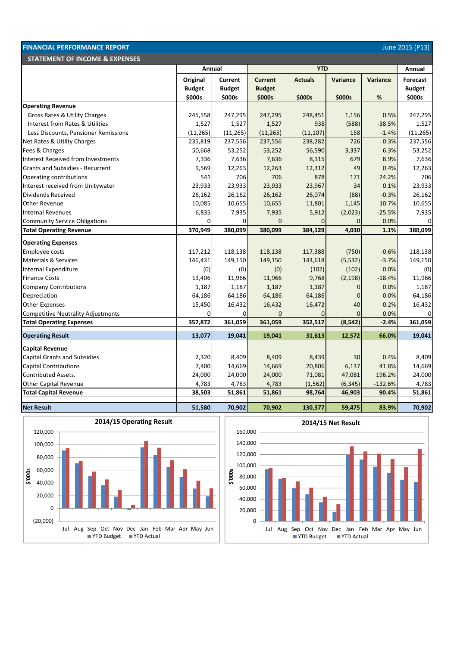| <b>FINANCIAL PERFORMANCE REPORT</b><br>June 2015 (P13) |                           |                                 |                                 |                |                 |           |                                  |  |  |
|--------------------------------------------------------|---------------------------|---------------------------------|---------------------------------|----------------|-----------------|-----------|----------------------------------|--|--|
| <b>STATEMENT OF INCOME &amp; EXPENSES</b>              |                           |                                 |                                 |                |                 |           |                                  |  |  |
|                                                        | Annual                    |                                 | <b>YTD</b>                      |                |                 |           | Annual                           |  |  |
|                                                        | Original<br><b>Budget</b> | <b>Current</b><br><b>Budget</b> | <b>Current</b><br><b>Budget</b> | <b>Actuals</b> | <b>Variance</b> | Variance  | <b>Forecast</b><br><b>Budget</b> |  |  |
|                                                        | \$000s                    | \$000s                          | \$000s                          | \$000s         | \$000s          | %         | \$000s                           |  |  |
| <b>Operating Revenue</b>                               |                           |                                 |                                 |                |                 |           |                                  |  |  |
| Gross Rates & Utility Charges                          | 245,558                   | 247,295                         | 247,295                         | 248,451        | 1,156           | 0.5%      | 247,295                          |  |  |
| Interest from Rates & Utilities                        | 1,527                     | 1,527                           | 1,527                           | 938            | (588)           | $-38.5%$  | 1,527                            |  |  |
| Less Discounts, Pensioner Remissions                   | (11, 265)                 | (11, 265)                       | (11, 265)                       | (11, 107)      | 158             | $-1.4%$   | (11, 265)                        |  |  |
| Net Rates & Utility Charges                            | 235,819                   | 237,556                         | 237,556                         | 238,282        | 726             | 0.3%      | 237,556                          |  |  |
| Fees & Charges                                         | 50,668                    | 53,252                          | 53,252                          | 56,590         | 3,337           | 6.3%      | 53,252                           |  |  |
| Interest Received from Investments                     | 7,336                     | 7,636                           | 7,636                           | 8,315          | 679             | 8.9%      | 7,636                            |  |  |
| <b>Grants and Subsidies - Recurrent</b>                | 9,569                     | 12,263                          | 12,263                          | 12,312         | 49              | 0.4%      | 12,263                           |  |  |
| Operating contributions                                | 541                       | 706                             | 706                             | 878            | 171             | 24.2%     | 706                              |  |  |
| Interest received from Unitywater                      | 23,933                    | 23,933                          | 23,933                          | 23,967         | 34              | 0.1%      | 23,933                           |  |  |
| Dividends Received                                     | 26,162                    | 26,162                          | 26,162                          | 26,074         | (88)            | $-0.3%$   | 26,162                           |  |  |
| <b>Other Revenue</b>                                   | 10,085                    | 10,655                          | 10,655                          | 11,801         | 1,145           | 10.7%     | 10,655                           |  |  |
| <b>Internal Revenues</b>                               | 6,835                     | 7,935                           | 7,935                           | 5,912          | (2,023)         | $-25.5%$  | 7,935                            |  |  |
| <b>Community Service Obligations</b>                   | 0                         | $\Omega$                        | $\Omega$                        | $\Omega$       | $\overline{0}$  | 0.0%      | 0                                |  |  |
| <b>Total Operating Revenue</b>                         | 370,949                   | 380,099                         | 380,099                         | 384,129        | 4,030           | 1.1%      | 380,099                          |  |  |
| <b>Operating Expenses</b>                              |                           |                                 |                                 |                |                 |           |                                  |  |  |
| Employee costs                                         | 117,212                   | 118,138                         | 118,138                         | 117,388        | (750)           | $-0.6%$   | 118,138                          |  |  |
| <b>Materials &amp; Services</b>                        | 146,431                   | 149,150                         | 149,150                         | 143,618        | (5, 532)        | $-3.7%$   | 149,150                          |  |  |
| Internal Expenditure                                   | (0)                       | (0)                             | (0)                             | (102)          | (102)           | 0.0%      | (0)                              |  |  |
| <b>Finance Costs</b>                                   | 13,406                    | 11,966                          | 11,966                          | 9,768          | (2, 198)        | $-18.4%$  | 11,966                           |  |  |
| <b>Company Contributions</b>                           | 1,187                     | 1,187                           | 1,187                           | 1,187          | $\overline{0}$  | 0.0%      | 1,187                            |  |  |
| Depreciation                                           | 64,186                    | 64,186                          | 64,186                          | 64,186         | $\overline{0}$  | 0.0%      | 64,186                           |  |  |
| <b>Other Expenses</b>                                  | 15,450                    | 16,432                          | 16,432                          | 16,472         | 40              | 0.2%      | 16,432                           |  |  |
| <b>Competitive Neutrality Adjustments</b>              | 0                         | $\overline{0}$                  | $\overline{0}$                  | $\mathbf{0}$   | $\overline{0}$  | 0.0%      | 0                                |  |  |
| <b>Total Operating Expenses</b>                        | 357,872                   | 361,059                         | 361,059                         | 352,517        | (8, 542)        | $-2.4%$   | 361,059                          |  |  |
| <b>Operating Result</b>                                | 13,077                    | 19,041                          | 19,041                          | 31,613         | 12,572          | 66.0%     | 19,041                           |  |  |
| <b>Capital Revenue</b>                                 |                           |                                 |                                 |                |                 |           |                                  |  |  |
| <b>Capital Grants and Subsidies</b>                    | 2,320                     | 8,409                           | 8,409                           | 8,439          | 30              | 0.4%      | 8,409                            |  |  |
| <b>Capital Contributions</b>                           | 7,400                     | 14,669                          | 14,669                          | 20,806         | 6,137           | 41.8%     | 14,669                           |  |  |
| <b>Contributed Assets.</b>                             | 24,000                    | 24,000                          | 24,000                          | 71,081         | 47,081          | 196.2%    | 24,000                           |  |  |
| Other Capital Revenue                                  | 4,783                     | 4,783                           | 4,783                           | (1, 562)       | (6, 345)        | $-132.6%$ | 4,783                            |  |  |
| <b>Total Capital Revenue</b>                           | 38,503                    | 51,861                          | 51,861                          | 98,764         | 46,903          | 90.4%     | 51,861                           |  |  |
| <b>Net Result</b>                                      | 51,580                    | 70,902                          | 70,902                          | 130,377        | 59,475          | 83.9%     | 70,902                           |  |  |



**2014/15 Operating Result**



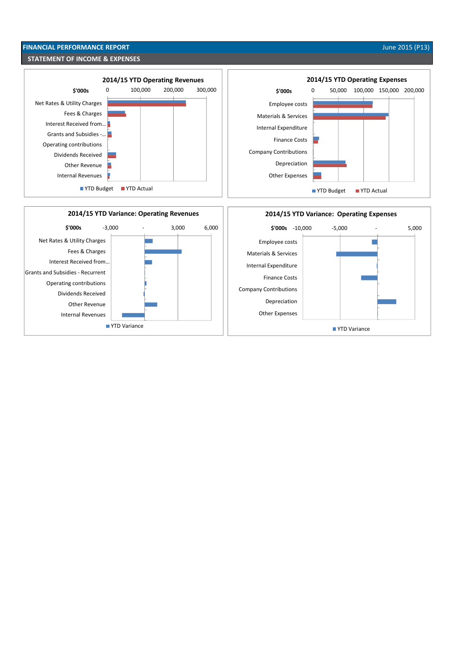# **FINANCIAL PERFORMANCE REPORT** June 2015 (P13) **STATEMENT OF INCOME & EXPENSES**

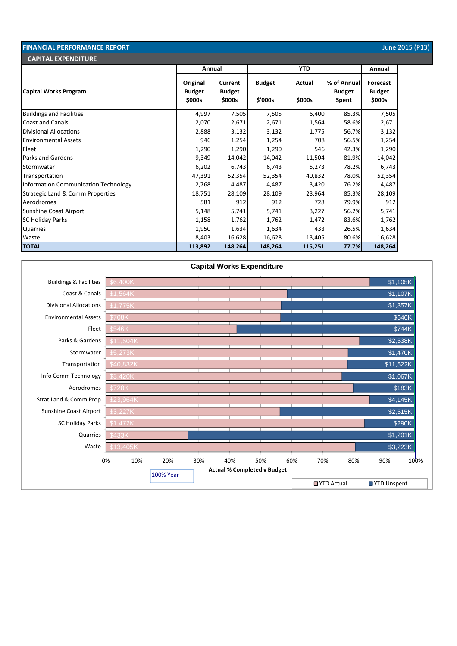| <b>FINANCIAL PERFORMANCE REPORT</b><br>June 2015 (P13) |                                     |                                    |                          |                  |                                       |                                     |  |
|--------------------------------------------------------|-------------------------------------|------------------------------------|--------------------------|------------------|---------------------------------------|-------------------------------------|--|
| <b>CAPITAL EXPENDITURE</b>                             |                                     |                                    |                          |                  |                                       |                                     |  |
|                                                        |                                     | Annual                             |                          | <b>YTD</b>       |                                       | Annual                              |  |
| Capital Works Program                                  | Original<br><b>Budget</b><br>\$000s | Current<br><b>Budget</b><br>\$000s | <b>Budget</b><br>\$'000s | Actual<br>\$000s | % of Annual<br><b>Budget</b><br>Spent | Forecast<br><b>Budget</b><br>\$000s |  |
| <b>Buildings and Facilities</b>                        | 4,997                               | 7,505                              | 7,505                    | 6,400            | 85.3%                                 | 7,505                               |  |
| <b>Coast and Canals</b>                                | 2,070                               | 2,671                              | 2,671                    | 1,564            | 58.6%                                 | 2,671                               |  |
| <b>Divisional Allocations</b>                          | 2,888                               | 3,132                              | 3,132                    | 1,775            | 56.7%                                 | 3,132                               |  |
| <b>Environmental Assets</b>                            | 946                                 | 1,254                              | 1,254                    | 708              | 56.5%                                 | 1,254                               |  |
| Fleet                                                  | 1,290                               | 1,290                              | 1,290                    | 546              | 42.3%                                 | 1,290                               |  |
| <b>Parks and Gardens</b>                               | 9,349                               | 14,042                             | 14,042                   | 11,504           | 81.9%                                 | 14,042                              |  |
| Stormwater                                             | 6,202                               | 6,743                              | 6,743                    | 5,273            | 78.2%                                 | 6,743                               |  |
| Transportation                                         | 47,391                              | 52,354                             | 52,354                   | 40,832           | 78.0%                                 | 52,354                              |  |
| Information Communication Technology                   | 2,768                               | 4,487                              | 4,487                    | 3,420            | 76.2%                                 | 4,487                               |  |
| <b>Strategic Land &amp; Comm Properties</b>            | 18,751                              | 28,109                             | 28,109                   | 23,964           | 85.3%                                 | 28,109                              |  |
| Aerodromes                                             | 581                                 | 912                                | 912                      | 728              | 79.9%                                 | 912                                 |  |
| <b>Sunshine Coast Airport</b>                          | 5,148                               | 5,741                              | 5,741                    | 3,227            | 56.2%                                 | 5,741                               |  |
| <b>SC Holiday Parks</b>                                | 1,158                               | 1,762                              | 1,762                    | 1,472            | 83.6%                                 | 1,762                               |  |
| Quarries                                               | 1,950                               | 1,634                              | 1,634                    | 433              | 26.5%                                 | 1,634                               |  |
| Waste                                                  | 8,403                               | 16,628                             | 16,628                   | 13,405           | 80.6%                                 | 16,628                              |  |
| <b>TOTAL</b>                                           | 113,892                             | 148,264                            | 148,264                  | 115,251          | 77.7%                                 | 148,264                             |  |